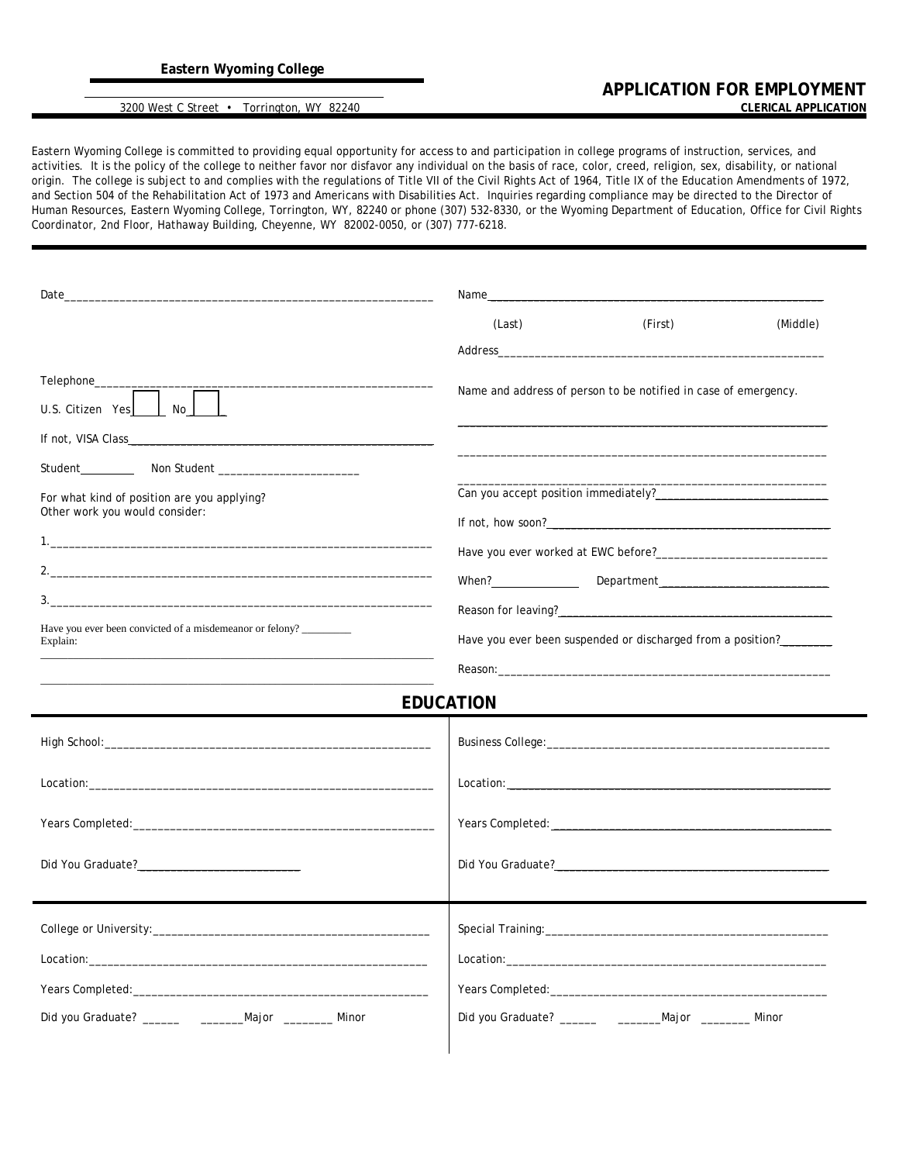## 3200 West C Street • Torrington, WY 82240

Eastern Wyoming College is committed to providing equal opportunity for access to and participation in college programs of instruction, services, and activities. It is the policy of the college to neither favor nor disfavor any individual on the basis of race, color, creed, religion, sex, disability, or national origin. The college is subject to and complies with the regulations of Title VII of the Civil Rights Act of 1964, Title IX of the Education Amendments of 1972, and Section 504 of the Rehabilitation Act of 1973 and Americans with Disabilities Act. Inquiries regarding compliance may be directed to the Director of Human Resources, Eastern Wyoming College, Torrington, WY, 82240 or phone (307) 532-8330, or the Wyoming Department of Education, Office for Civil Rights Coordinator, 2nd Floor, Hathaway Building, Cheyenne, WY 82002-0050, or (307) 777-6218.

| Date and the contract of the contract of the contract of the contract of the contract of the contract of the contract of the contract of the contract of the contract of the contract of the contract of the contract of the c | Name and the contract of the contract of the contract of the contract of the contract of the contract of the contract of the contract of the contract of the contract of the contract of the contract of the contract of the c |                                                                                                                                                                                                                                      |          |  |
|--------------------------------------------------------------------------------------------------------------------------------------------------------------------------------------------------------------------------------|--------------------------------------------------------------------------------------------------------------------------------------------------------------------------------------------------------------------------------|--------------------------------------------------------------------------------------------------------------------------------------------------------------------------------------------------------------------------------------|----------|--|
|                                                                                                                                                                                                                                | (Last)                                                                                                                                                                                                                         | (First)                                                                                                                                                                                                                              | (Middle) |  |
|                                                                                                                                                                                                                                |                                                                                                                                                                                                                                |                                                                                                                                                                                                                                      |          |  |
| Telephone_______<br>U.S. Citizen Yes LIMO                                                                                                                                                                                      | Name and address of person to be notified in case of emergency.                                                                                                                                                                |                                                                                                                                                                                                                                      |          |  |
|                                                                                                                                                                                                                                |                                                                                                                                                                                                                                |                                                                                                                                                                                                                                      |          |  |
|                                                                                                                                                                                                                                |                                                                                                                                                                                                                                |                                                                                                                                                                                                                                      |          |  |
| For what kind of position are you applying?<br>Other work you would consider:                                                                                                                                                  |                                                                                                                                                                                                                                |                                                                                                                                                                                                                                      |          |  |
|                                                                                                                                                                                                                                |                                                                                                                                                                                                                                |                                                                                                                                                                                                                                      |          |  |
|                                                                                                                                                                                                                                |                                                                                                                                                                                                                                |                                                                                                                                                                                                                                      |          |  |
| 3.                                                                                                                                                                                                                             |                                                                                                                                                                                                                                | When? <b>Mandal Mandal Mandal Mandal Mandal Mandal Mandal Mandal Mandal Mandal Mandal Mandal Mandal Mandal Mandal Mandal Mandal Mandal Mandal Mandal Mandal Mandal Mandal Mandal Mandal Mandal Mandal Mandal Mandal Mandal Manda</b> |          |  |
| Have you ever been convicted of a misdemeanor or felony?                                                                                                                                                                       |                                                                                                                                                                                                                                |                                                                                                                                                                                                                                      |          |  |
| Explain:                                                                                                                                                                                                                       | Have you ever been suspended or discharged from a position?                                                                                                                                                                    |                                                                                                                                                                                                                                      |          |  |
|                                                                                                                                                                                                                                |                                                                                                                                                                                                                                |                                                                                                                                                                                                                                      |          |  |
|                                                                                                                                                                                                                                | <b>EDUCATION</b>                                                                                                                                                                                                               |                                                                                                                                                                                                                                      |          |  |
|                                                                                                                                                                                                                                |                                                                                                                                                                                                                                |                                                                                                                                                                                                                                      |          |  |
|                                                                                                                                                                                                                                |                                                                                                                                                                                                                                |                                                                                                                                                                                                                                      |          |  |
|                                                                                                                                                                                                                                |                                                                                                                                                                                                                                |                                                                                                                                                                                                                                      |          |  |
|                                                                                                                                                                                                                                |                                                                                                                                                                                                                                |                                                                                                                                                                                                                                      |          |  |
|                                                                                                                                                                                                                                |                                                                                                                                                                                                                                |                                                                                                                                                                                                                                      |          |  |
|                                                                                                                                                                                                                                |                                                                                                                                                                                                                                |                                                                                                                                                                                                                                      |          |  |
|                                                                                                                                                                                                                                |                                                                                                                                                                                                                                |                                                                                                                                                                                                                                      |          |  |
|                                                                                                                                                                                                                                |                                                                                                                                                                                                                                |                                                                                                                                                                                                                                      |          |  |
| Did you Graduate? _________ ___________Major __________ Minor                                                                                                                                                                  |                                                                                                                                                                                                                                |                                                                                                                                                                                                                                      |          |  |